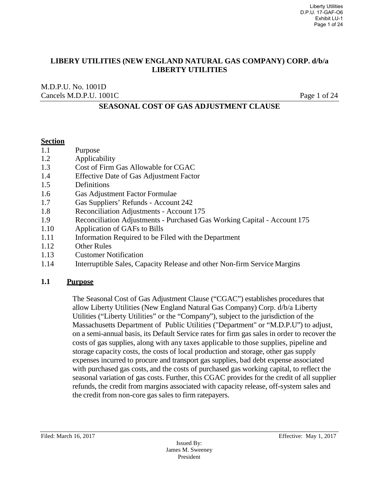M.D.P.U. No. 1001D Cancels M.D.P.U. 1001C Page 1 of 24

## **SEASONAL COST OF GAS ADJUSTMENT CLAUSE**

#### **Section**

- 1.1 Purpose
- 1.2 Applicability
- 1.3 Cost of Firm Gas Allowable for CGAC
- 1.4 Effective Date of Gas Adjustment Factor
- 1.5 Definitions
- 1.6 Gas Adjustment Factor Formulae
- 1.7 Gas Suppliers' Refunds Account 242
- 1.8 Reconciliation Adjustments Account 175
- 1.9 Reconciliation Adjustments Purchased Gas Working Capital Account 175
- 1.10 Application of GAFs to Bills
- 1.11 Information Required to be Filed with the Department
- 1.12 Other Rules
- 1.13 Customer Notification
- 1.14 Interruptible Sales, Capacity Release and other Non-firm Service Margins

#### **1.1 Purpose**

The Seasonal Cost of Gas Adjustment Clause ("CGAC") establishes procedures that allow Liberty Utilities (New England Natural Gas Company) Corp. d/b/a Liberty Utilities ("Liberty Utilities" or the "Company"), subject to the jurisdiction of the Massachusetts Department of Public Utilities ("Department" or "M.D.P.U") to adjust, on a semi-annual basis, its Default Service rates for firm gas sales in order to recover the costs of gas supplies, along with any taxes applicable to those supplies, pipeline and storage capacity costs, the costs of local production and storage, other gas supply expenses incurred to procure and transport gas supplies, bad debt expense associated with purchased gas costs, and the costs of purchased gas working capital, to reflect the seasonal variation of gas costs. Further, this CGAC provides for the credit of all supplier refunds, the credit from margins associated with capacity release, off-system sales and the credit from non-core gas sales to firm ratepayers.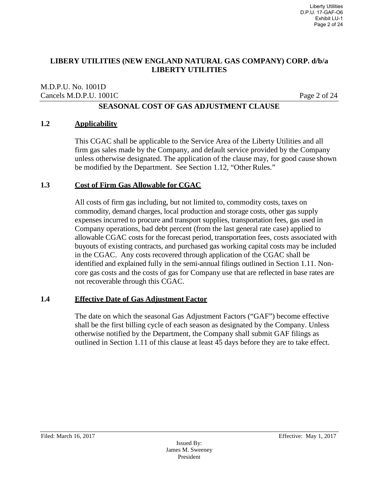#### M.D.P.U. No. 1001D Cancels M.D.P.U. 1001C Page 2 of 24

## **SEASONAL COST OF GAS ADJUSTMENT CLAUSE**

#### **1.2 Applicability**

This CGAC shall be applicable to the Service Area of the Liberty Utilities and all firm gas sales made by the Company, and default service provided by the Company unless otherwise designated. The application of the clause may, for good cause shown be modified by the Department. See Section 1.12, "Other Rules."

#### **1.3 Cost of Firm Gas Allowable for CGAC**

All costs of firm gas including, but not limited to, commodity costs, taxes on commodity, demand charges, local production and storage costs, other gas supply expenses incurred to procure and transport supplies, transportation fees, gas used in Company operations, bad debt percent (from the last general rate case) applied to allowable CGAC costs for the forecast period, transportation fees, costs associated with buyouts of existing contracts, and purchased gas working capital costs may be included in the CGAC. Any costs recovered through application of the CGAC shall be identified and explained fully in the semi-annual filings outlined in Section 1.11. Noncore gas costs and the costs of gas for Company use that are reflected in base rates are not recoverable through this CGAC.

#### **1.4 Effective Date of Gas Adjustment Factor**

The date on which the seasonal Gas Adjustment Factors ("GAF") become effective shall be the first billing cycle of each season as designated by the Company. Unless otherwise notified by the Department, the Company shall submit GAF filings as outlined in Section 1.11 of this clause at least 45 days before they are to take effect.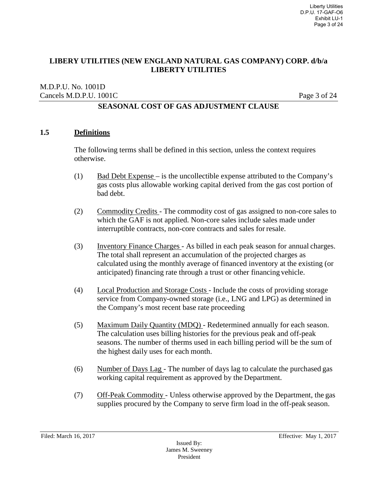#### M.D.P.U. No. 1001D Cancels M.D.P.U. 1001C Page 3 of 24

## **SEASONAL COST OF GAS ADJUSTMENT CLAUSE**

#### **1.5 Definitions**

The following terms shall be defined in this section, unless the context requires otherwise.

- (1) Bad Debt Expense is the uncollectible expense attributed to the Company's gas costs plus allowable working capital derived from the gas cost portion of bad debt.
- (2) Commodity Credits The commodity cost of gas assigned to non-core sales to which the GAF is not applied. Non-core sales include sales made under interruptible contracts, non-core contracts and sales for resale.
- (3) Inventory Finance Charges As billed in each peak season for annual charges. The total shall represent an accumulation of the projected charges as calculated using the monthly average of financed inventory at the existing (or anticipated) financing rate through a trust or other financing vehicle.
- (4) Local Production and Storage Costs Include the costs of providing storage service from Company-owned storage (i.e., LNG and LPG) as determined in the Company's most recent base rate proceeding
- (5) Maximum Daily Quantity (MDQ) Redetermined annually for each season. The calculation uses billing histories for the previous peak and off-peak seasons. The number of therms used in each billing period will be the sum of the highest daily uses for each month.
- (6) Number of Days Lag The number of days lag to calculate the purchased gas working capital requirement as approved by the Department.
- (7) Off-Peak Commodity Unless otherwise approved by the Department, the gas supplies procured by the Company to serve firm load in the off-peak season.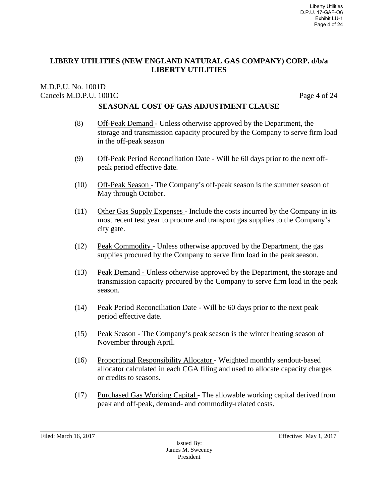#### M.D.P.U. No. 1001D Cancels M.D.P.U. 1001C Page 4 of 24

- (8) Off-Peak Demand Unless otherwise approved by the Department, the storage and transmission capacity procured by the Company to serve firm load in the off-peak season
- (9) Off-Peak Period Reconciliation Date Will be 60 days prior to the next offpeak period effective date.
- (10) Off-Peak Season The Company's off-peak season is the summer season of May through October.
- (11) Other Gas Supply Expenses Include the costs incurred by the Company in its most recent test year to procure and transport gas supplies to the Company's city gate.
- (12) Peak Commodity Unless otherwise approved by the Department, the gas supplies procured by the Company to serve firm load in the peak season.
- (13) Peak Demand Unless otherwise approved by the Department, the storage and transmission capacity procured by the Company to serve firm load in the peak season.
- (14) Peak Period Reconciliation Date Will be 60 days prior to the next peak period effective date.
- (15) Peak Season The Company's peak season is the winter heating season of November through April.
- (16) Proportional Responsibility Allocator Weighted monthly sendout-based allocator calculated in each CGA filing and used to allocate capacity charges or credits to seasons.
- (17) Purchased Gas Working Capital The allowable working capital derived from peak and off-peak, demand- and commodity-related costs.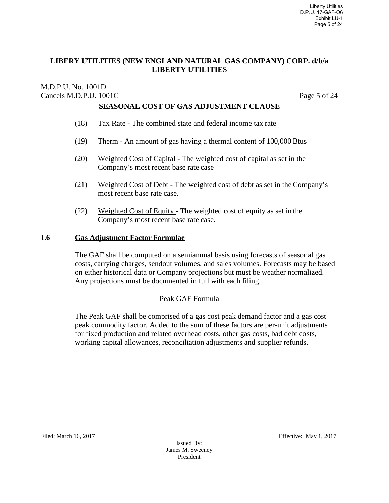#### M.D.P.U. No. 1001D Cancels M.D.P.U. 1001C Page 5 of 24

# **SEASONAL COST OF GAS ADJUSTMENT CLAUSE**

- (18) Tax Rate The combined state and federal income tax rate
- (19) Therm An amount of gas having a thermal content of 100,000 Btus
- (20) Weighted Cost of Capital The weighted cost of capital as set in the Company's most recent base rate case
- (21) Weighted Cost of Debt The weighted cost of debt as set in the Company's most recent base rate case.
- (22) Weighted Cost of Equity The weighted cost of equity as set in the Company's most recent base rate case.

#### **1.6 Gas Adjustment Factor Formulae**

The GAF shall be computed on a semiannual basis using forecasts of seasonal gas costs, carrying charges, sendout volumes, and sales volumes. Forecasts may be based on either historical data or Company projections but must be weather normalized. Any projections must be documented in full with each filing.

#### Peak GAF Formula

The Peak GAF shall be comprised of a gas cost peak demand factor and a gas cost peak commodity factor. Added to the sum of these factors are per-unit adjustments for fixed production and related overhead costs, other gas costs, bad debt costs, working capital allowances, reconciliation adjustments and supplier refunds.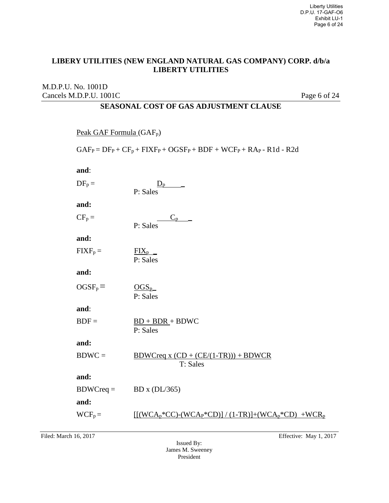## M.D.P.U. No. 1001D Cancels M.D.P.U. 1001C Page 6 of 24

| Peak GAF Formula $(GAF_p)$                                              |                                                        |
|-------------------------------------------------------------------------|--------------------------------------------------------|
| $GAF_P = DF_P + CF_p + FIXF_P + OGSF_P + BDF + WCF_P + RAp - R1d - R2d$ |                                                        |
| and:                                                                    |                                                        |
| $DF_p =$                                                                | $D_p$<br>P: Sales                                      |
| and:                                                                    |                                                        |
| $CF_p =$                                                                | $C_{p}$ $-$<br>P: Sales                                |
| and:                                                                    |                                                        |
| $FIXF_p =$                                                              | $\frac{FIX_p}{\sim}$<br>P: Sales                       |
| and:                                                                    |                                                        |
| $OGSF_p =$                                                              | $OGS_{p}$<br>P: Sales                                  |
| and:                                                                    |                                                        |
| $BDF =$                                                                 | $BD + BDR + BDWC$<br>P: Sales                          |
| and:                                                                    |                                                        |
| $BDWC =$                                                                | $BDWCreq x (CD + (CE/(1-TR))) + BDWCR$<br>T: Sales     |
| and:                                                                    |                                                        |
| $BDWCreq =$                                                             | BD x (DL/365)                                          |
| and:                                                                    |                                                        |
| $WCF_p =$                                                               | $[(WCA_p*CC)-(WCA_p*CD)] / (1-TR)]+(WCA_p*CD) + WCR_p$ |
|                                                                         |                                                        |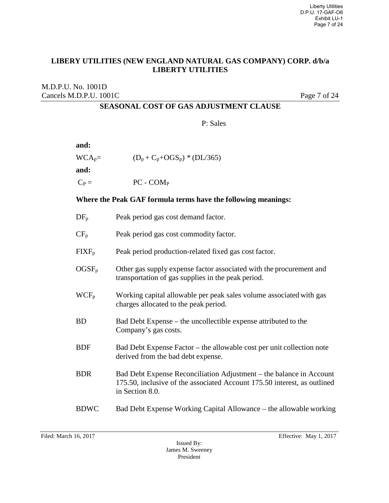## M.D.P.U. No. 1001D Cancels M.D.P.U. 1001C Page 7 of 24

# **SEASONAL COST OF GAS ADJUSTMENT CLAUSE**

P: Sales

| and:     |                                  |
|----------|----------------------------------|
| $WCA_p=$ | $(D_p + C_p + OGS_p) * (DL/365)$ |
| and:     |                                  |
| $C_P =$  | $PC$ - $COMP$                    |

#### **Where the Peak GAF formula terms have the following meanings:**

| $DF_p$            | Peak period gas cost demand factor.                                                                                                                                |
|-------------------|--------------------------------------------------------------------------------------------------------------------------------------------------------------------|
| $CF_{p}$          | Peak period gas cost commodity factor.                                                                                                                             |
| $\text{FIXF}_{p}$ | Peak period production-related fixed gas cost factor.                                                                                                              |
| $OGSF_p$          | Other gas supply expense factor associated with the procurement and<br>transportation of gas supplies in the peak period.                                          |
| $WCF_p$           | Working capital allowable per peak sales volume associated with gas<br>charges allocated to the peak period.                                                       |
| <b>BD</b>         | Bad Debt Expense – the uncollectible expense attributed to the<br>Company's gas costs.                                                                             |
| <b>BDF</b>        | Bad Debt Expense Factor – the allowable cost per unit collection note<br>derived from the bad debt expense.                                                        |
| <b>BDR</b>        | Bad Debt Expense Reconciliation Adjustment - the balance in Account<br>175.50, inclusive of the associated Account 175.50 interest, as outlined<br>in Section 8.0. |
| <b>BDWC</b>       | Bad Debt Expense Working Capital Allowance – the allowable working                                                                                                 |
|                   |                                                                                                                                                                    |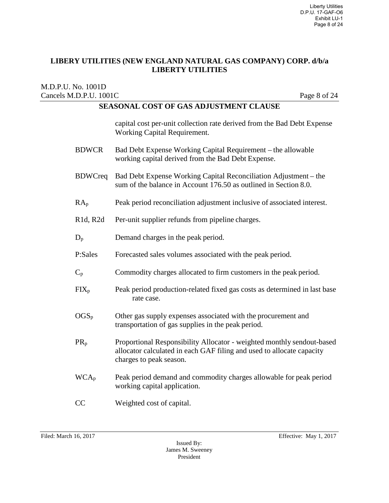#### M.D.P.U. No. 1001D Cancels M.D.P.U. 1001C Page 8 of 24

|                        | capital cost per-unit collection rate derived from the Bad Debt Expense<br>Working Capital Requirement.                                                                    |
|------------------------|----------------------------------------------------------------------------------------------------------------------------------------------------------------------------|
| <b>BDWCR</b>           | Bad Debt Expense Working Capital Requirement – the allowable<br>working capital derived from the Bad Debt Expense.                                                         |
| <b>BDWCreq</b>         | Bad Debt Expense Working Capital Reconciliation Adjustment – the<br>sum of the balance in Account 176.50 as outlined in Section 8.0.                                       |
| RA <sub>p</sub>        | Peak period reconciliation adjustment inclusive of associated interest.                                                                                                    |
| R1d, R2d               | Per-unit supplier refunds from pipeline charges.                                                                                                                           |
| $\rm D_{p}$            | Demand charges in the peak period.                                                                                                                                         |
| P:Sales                | Forecasted sales volumes associated with the peak period.                                                                                                                  |
| $\overline{C}_{p}$     | Commodity charges allocated to firm customers in the peak period.                                                                                                          |
| $\overline{FIX}_p$     | Peak period production-related fixed gas costs as determined in last base<br>rate case.                                                                                    |
| $\rm{OGS}_p$           | Other gas supply expenses associated with the procurement and<br>transportation of gas supplies in the peak period.                                                        |
| $PR_p$                 | Proportional Responsibility Allocator - weighted monthly sendout-based<br>allocator calculated in each GAF filing and used to allocate capacity<br>charges to peak season. |
| $WCA_p$                | Peak period demand and commodity charges allowable for peak period<br>working capital application.                                                                         |
| $\overline{\text{CC}}$ | Weighted cost of capital.                                                                                                                                                  |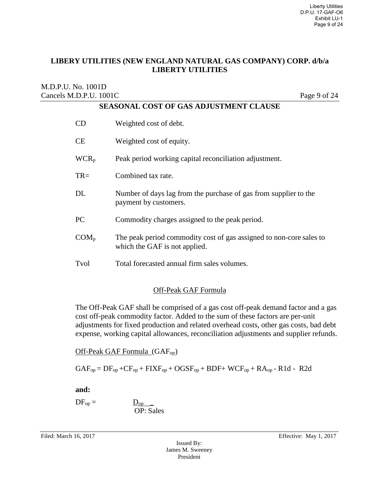#### M.D.P.U. No. 1001D Cancels M.D.P.U. 1001C Page 9 of 24

| <b>SEASONAL COST OF GAS ADJUSTMENT CLAUSE</b> |                                                                                                      |
|-----------------------------------------------|------------------------------------------------------------------------------------------------------|
| CD                                            | Weighted cost of debt.                                                                               |
| <b>CE</b>                                     | Weighted cost of equity.                                                                             |
| WCR <sub>p</sub>                              | Peak period working capital reconciliation adjustment.                                               |
| $TR =$                                        | Combined tax rate.                                                                                   |
| DL                                            | Number of days lag from the purchase of gas from supplier to the<br>payment by customers.            |
| PC                                            | Commodity charges assigned to the peak period.                                                       |
| COM <sub>p</sub>                              | The peak period commodity cost of gas assigned to non-core sales to<br>which the GAF is not applied. |
| Tvol                                          | Total forecasted annual firm sales volumes.                                                          |

#### Off-Peak GAF Formula

The Off-Peak GAF shall be comprised of a gas cost off-peak demand factor and a gas cost off-peak commodity factor. Added to the sum of these factors are per-unit adjustments for fixed production and related overhead costs, other gas costs, bad debt expense, working capital allowances, reconciliation adjustments and supplier refunds.

Off-Peak GAF Formula (GAFop)

OP: Sales

 $GAF_{op} = DF_{op} + CF_{op} + FIXF_{op} + OGSF_{op} + BDF + WCF_{op} + RA_{op} - R1d - R2d$ 

**and:**

 $DF_{op} = \underline{D_{op}}$ 

Filed: March 16, 2017 **Effective:** May 1, 2017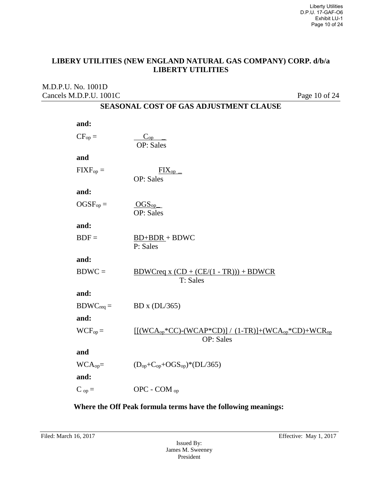#### M.D.P.U. No. 1001D Cancels M.D.P.U. 1001C Page 10 of 24

## **SEASONAL COST OF GAS ADJUSTMENT CLAUSE**

| and:                        |                                                                                   |
|-----------------------------|-----------------------------------------------------------------------------------|
| $CF_{op} =$                 | $C_{op}$<br><b>OP</b> : Sales                                                     |
| and                         |                                                                                   |
| $\text{FIXF}_{\text{op}} =$ | $FI\underline{X}_{op}$<br><b>OP</b> : Sales                                       |
| and:                        |                                                                                   |
| $OGSF_{op} =$               | $\overline{\text{OGS}_{\text{op}}}\_$<br><b>OP</b> : Sales                        |
| and:                        |                                                                                   |
| $BDF =$                     | $BD+BDR + BDWC$<br>P: Sales                                                       |
| and:                        |                                                                                   |
| $BDWC =$                    | $BDWCreq x (CD + (CE/(1 - TR))) + BDWCR$<br>T: Sales                              |
| and:                        |                                                                                   |
| $BDWC_{req} =$              | BD x (DL/365)                                                                     |
| and:                        |                                                                                   |
| $WCF_{op} =$                | $[(WCA_{op}*CC)-(WCAP*CD)] / (1-TR)]+(WCA_{op}*CD)+WCR_{op}$<br><b>OP</b> : Sales |
| and                         |                                                                                   |
| $WCAop =$                   | $(D_{\text{op}} + C_{\text{op}} + OGS_{\text{op}})$ *(DL/365)                     |
| and:                        |                                                                                   |
| $C_{op} =$                  | OPC - COM $_{op}$                                                                 |

## **Where the Off Peak formula terms have the following meanings:**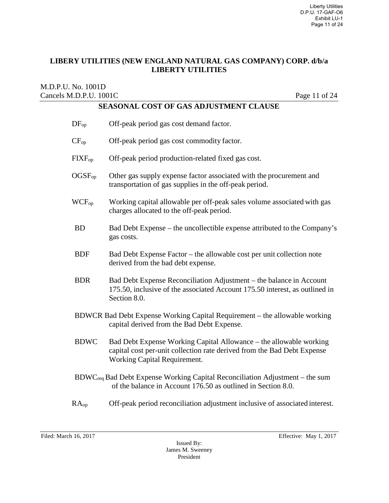#### M.D.P.U. No. 1001D Cancels M.D.P.U. 1001C Page 11 of 24

| $DF_{op}$                                                                                                                | Off-peak period gas cost demand factor.                                                                                                                                       |
|--------------------------------------------------------------------------------------------------------------------------|-------------------------------------------------------------------------------------------------------------------------------------------------------------------------------|
| $CF_{op}$                                                                                                                | Off-peak period gas cost commodity factor.                                                                                                                                    |
| $\text{FIXF}_{\text{op}}$                                                                                                | Off-peak period production-related fixed gas cost.                                                                                                                            |
| $OGSF_{op}$                                                                                                              | Other gas supply expense factor associated with the procurement and<br>transportation of gas supplies in the off-peak period.                                                 |
| WCF <sub>op</sub>                                                                                                        | Working capital allowable per off-peak sales volume associated with gas<br>charges allocated to the off-peak period.                                                          |
| <b>BD</b>                                                                                                                | Bad Debt Expense – the uncollectible expense attributed to the Company's<br>gas costs.                                                                                        |
| <b>BDF</b>                                                                                                               | Bad Debt Expense Factor – the allowable cost per unit collection note<br>derived from the bad debt expense.                                                                   |
| <b>BDR</b>                                                                                                               | Bad Debt Expense Reconciliation Adjustment – the balance in Account<br>175.50, inclusive of the associated Account 175.50 interest, as outlined in<br>Section 8.0.            |
| BDWCR Bad Debt Expense Working Capital Requirement – the allowable working<br>capital derived from the Bad Debt Expense. |                                                                                                                                                                               |
| <b>BDWC</b>                                                                                                              | Bad Debt Expense Working Capital Allowance – the allowable working<br>capital cost per-unit collection rate derived from the Bad Debt Expense<br>Working Capital Requirement. |
|                                                                                                                          | $BDWC_{\text{req}}$ Bad Debt Expense Working Capital Reconciliation Adjustment – the sum<br>of the balance in Account 176.50 as outlined in Section 8.0.                      |
| RA <sub>op</sub>                                                                                                         | Off-peak period reconciliation adjustment inclusive of associated interest.                                                                                                   |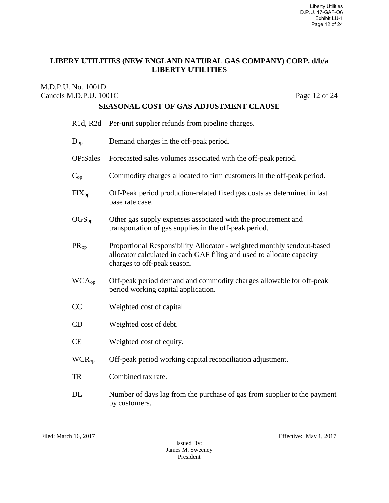#### M.D.P.U. No. 1001D Cancels M.D.P.U. 1001C Page 12 of 24

|                          | R1d, R2d Per-unit supplier refunds from pipeline charges.                                                                                                                      |
|--------------------------|--------------------------------------------------------------------------------------------------------------------------------------------------------------------------------|
| $\mathrm{D_{op}}$        | Demand charges in the off-peak period.                                                                                                                                         |
| OP:Sales                 | Forecasted sales volumes associated with the off-peak period.                                                                                                                  |
| $C_{op}$                 | Commodity charges allocated to firm customers in the off-peak period.                                                                                                          |
| $\text{FIX}_{\text{op}}$ | Off-Peak period production-related fixed gas costs as determined in last<br>base rate case.                                                                                    |
| $\mathrm{OGS_{op}}$      | Other gas supply expenses associated with the procurement and<br>transportation of gas supplies in the off-peak period.                                                        |
| $\rm PR_{op}$            | Proportional Responsibility Allocator - weighted monthly sendout-based<br>allocator calculated in each GAF filing and used to allocate capacity<br>charges to off-peak season. |
| WCA <sub>op</sub>        | Off-peak period demand and commodity charges allowable for off-peak<br>period working capital application.                                                                     |
| $\overline{\text{CC}}$   | Weighted cost of capital.                                                                                                                                                      |
| CD                       | Weighted cost of debt.                                                                                                                                                         |
| <b>CE</b>                | Weighted cost of equity.                                                                                                                                                       |
| <b>WCR</b> <sub>op</sub> | Off-peak period working capital reconciliation adjustment.                                                                                                                     |
| TR                       | Combined tax rate.                                                                                                                                                             |
| DL                       | Number of days lag from the purchase of gas from supplier to the payment<br>by customers.                                                                                      |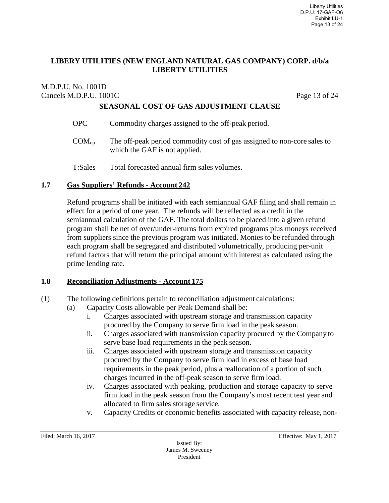#### M.D.P.U. No. 1001D Cancels M.D.P.U. 1001C Page 13 of 24 **SEASONAL COST OF GAS ADJUSTMENT CLAUSE**

OPC Commodity charges assigned to the off-peak period.  $COM<sub>op</sub>$  The off-peak period commodity cost of gas assigned to non-core sales to which the GAF is not applied.

T:Sales Total forecasted annual firm sales volumes.

#### **1.7 Gas Suppliers' Refunds - Account 242**

Refund programs shall be initiated with each semiannual GAF filing and shall remain in effect for a period of one year. The refunds will be reflected as a credit in the semiannual calculation of the GAF. The total dollars to be placed into a given refund program shall be net of over/under-returns from expired programs plus moneys received from suppliers since the previous program was initiated. Monies to be refunded through each program shall be segregated and distributed volumetrically, producing per-unit refund factors that will return the principal amount with interest as calculated using the prime lending rate.

#### **1.8 Reconciliation Adjustments - Account 175**

- (1) The following definitions pertain to reconciliation adjustment calculations:
	- (a) Capacity Costs allowable per Peak Demand shall be:
		- i. Charges associated with upstream storage and transmission capacity procured by the Company to serve firm load in the peak season.
		- ii. Charges associated with transmission capacity procured by the Company to serve base load requirements in the peak season.
		- iii. Charges associated with upstream storage and transmission capacity procured by the Company to serve firm load in excess of base load requirements in the peak period, plus a reallocation of a portion of such charges incurred in the off-peak season to serve firm load.
		- iv. Charges associated with peaking, production and storage capacity to serve firm load in the peak season from the Company's most recent test year and allocated to firm sales storage service.
		- v. Capacity Credits or economic benefits associated with capacity release, non-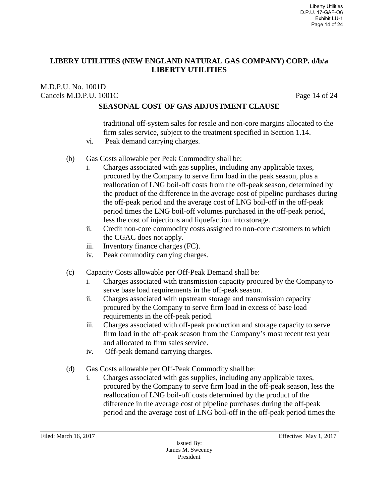M.D.P.U. No. 1001D Cancels M.D.P.U. 1001C Page 14 of 24

## **SEASONAL COST OF GAS ADJUSTMENT CLAUSE**

traditional off-system sales for resale and non-core margins allocated to the firm sales service, subject to the treatment specified in Section 1.14.

- vi. Peak demand carrying charges.
- (b) Gas Costs allowable per Peak Commodity shall be:
	- i. Charges associated with gas supplies, including any applicable taxes, procured by the Company to serve firm load in the peak season, plus a reallocation of LNG boil-off costs from the off-peak season, determined by the product of the difference in the average cost of pipeline purchases during the off-peak period and the average cost of LNG boil-off in the off-peak period times the LNG boil-off volumes purchased in the off-peak period, less the cost of injections and liquefaction into storage.
	- ii. Credit non-core commodity costs assigned to non-core customers to which the CGAC does not apply.
	- iii. Inventory finance charges (FC).
	- iv. Peak commodity carrying charges.
- (c) Capacity Costs allowable per Off-Peak Demand shall be:
	- i. Charges associated with transmission capacity procured by the Company to serve base load requirements in the off-peak season.
	- ii. Charges associated with upstream storage and transmission capacity procured by the Company to serve firm load in excess of base load requirements in the off-peak period.
	- iii. Charges associated with off-peak production and storage capacity to serve firm load in the off-peak season from the Company's most recent test year and allocated to firm sales service.
	- iv. Off-peak demand carrying charges.
- (d) Gas Costs allowable per Off-Peak Commodity shall be:
	- i. Charges associated with gas supplies, including any applicable taxes, procured by the Company to serve firm load in the off-peak season, less the reallocation of LNG boil-off costs determined by the product of the difference in the average cost of pipeline purchases during the off-peak period and the average cost of LNG boil-off in the off-peak period times the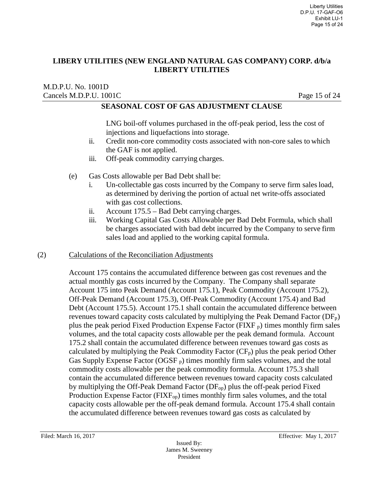#### M.D.P.U. No. 1001D Cancels M.D.P.U. 1001C Page 15 of 24

## **SEASONAL COST OF GAS ADJUSTMENT CLAUSE**

LNG boil-off volumes purchased in the off-peak period, less the cost of injections and liquefactions into storage.

- ii. Credit non-core commodity costs associated with non-core sales to which the GAF is not applied.
- iii. Off-peak commodity carrying charges.
- (e) Gas Costs allowable per Bad Debt shall be:
	- i. Un-collectable gas costs incurred by the Company to serve firm sales load, as determined by deriving the portion of actual net write-offs associated with gas cost collections.
	- ii. Account 175.5 Bad Debt carrying charges.
	- iii. Working Capital Gas Costs Allowable per Bad Debt Formula, which shall be charges associated with bad debt incurred by the Company to serve firm sales load and applied to the working capital formula.

#### (2) Calculations of the Reconciliation Adjustments

Account 175 contains the accumulated difference between gas cost revenues and the actual monthly gas costs incurred by the Company. The Company shall separate Account 175 into Peak Demand (Account 175.1), Peak Commodity (Account 175.2), Off-Peak Demand (Account 175.3), Off-Peak Commodity (Account 175.4) and Bad Debt (Account 175.5). Account 175.1 shall contain the accumulated difference between revenues toward capacity costs calculated by multiplying the Peak Demand Factor  $(DF_p)$ plus the peak period Fixed Production Expense Factor (FIXF  $_{p}$ ) times monthly firm sales volumes, and the total capacity costs allowable per the peak demand formula. Account 175.2 shall contain the accumulated difference between revenues toward gas costs as calculated by multiplying the Peak Commodity Factor  $(CF_p)$  plus the peak period Other Gas Supply Expense Factor (OGSF  $_p$ ) times monthly firm sales volumes, and the total commodity costs allowable per the peak commodity formula. Account 175.3 shall contain the accumulated difference between revenues toward capacity costs calculated by multiplying the Off-Peak Demand Factor  $(DF_{op})$  plus the off-peak period Fixed Production Expense Factor ( $\text{FIXF}_{op}$ ) times monthly firm sales volumes, and the total capacity costs allowable per the off-peak demand formula. Account 175.4 shall contain the accumulated difference between revenues toward gas costs as calculated by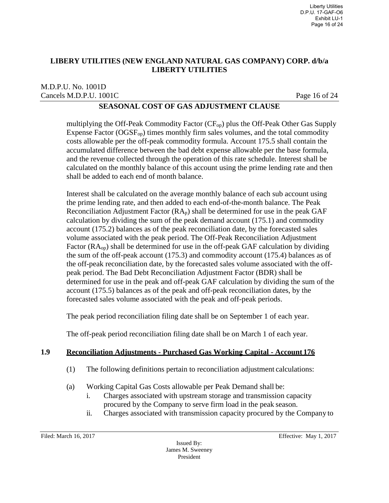#### M.D.P.U. No. 1001D Cancels M.D.P.U. 1001C Page 16 of 24

## **SEASONAL COST OF GAS ADJUSTMENT CLAUSE**

multiplying the Off-Peak Commodity Factor  $(CF_{op})$  plus the Off-Peak Other Gas Supply Expense Factor  $(OGSF_{op})$  times monthly firm sales volumes, and the total commodity costs allowable per the off-peak commodity formula. Account 175.5 shall contain the accumulated difference between the bad debt expense allowable per the base formula, and the revenue collected through the operation of this rate schedule. Interest shall be calculated on the monthly balance of this account using the prime lending rate and then shall be added to each end of month balance.

Interest shall be calculated on the average monthly balance of each sub account using the prime lending rate, and then added to each end-of-the-month balance. The Peak Reconciliation Adjustment Factor  $(RA_p)$  shall be determined for use in the peak GAF calculation by dividing the sum of the peak demand account (175.1) and commodity account (175.2) balances as of the peak reconciliation date, by the forecasted sales volume associated with the peak period. The Off-Peak Reconciliation Adjustment Factor  $(RA_{op})$  shall be determined for use in the off-peak GAF calculation by dividing the sum of the off-peak account (175.3) and commodity account (175.4) balances as of the off-peak reconciliation date, by the forecasted sales volume associated with the offpeak period. The Bad Debt Reconciliation Adjustment Factor (BDR) shall be determined for use in the peak and off-peak GAF calculation by dividing the sum of the account (175.5) balances as of the peak and off-peak reconciliation dates, by the forecasted sales volume associated with the peak and off-peak periods.

The peak period reconciliation filing date shall be on September 1 of each year.

The off-peak period reconciliation filing date shall be on March 1 of each year.

## **1.9 Reconciliation Adjustments - Purchased Gas Working Capital - Account 176**

- (1) The following definitions pertain to reconciliation adjustment calculations:
- (a) Working Capital Gas Costs allowable per Peak Demand shall be:
	- i. Charges associated with upstream storage and transmission capacity procured by the Company to serve firm load in the peak season.
	- ii. Charges associated with transmission capacity procured by the Company to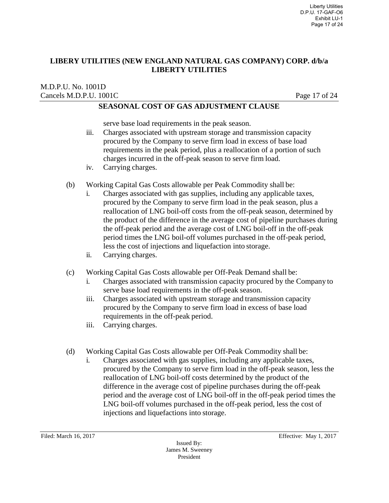#### M.D.P.U. No. 1001D Cancels M.D.P.U. 1001C Page 17 of 24

#### **SEASONAL COST OF GAS ADJUSTMENT CLAUSE**

serve base load requirements in the peak season.

- iii. Charges associated with upstream storage and transmission capacity procured by the Company to serve firm load in excess of base load requirements in the peak period, plus a reallocation of a portion of such charges incurred in the off-peak season to serve firm load.
- iv. Carrying charges.
- (b) Working Capital Gas Costs allowable per Peak Commodity shall be:
	- i. Charges associated with gas supplies, including any applicable taxes, procured by the Company to serve firm load in the peak season, plus a reallocation of LNG boil-off costs from the off-peak season, determined by the product of the difference in the average cost of pipeline purchases during the off-peak period and the average cost of LNG boil-off in the off-peak period times the LNG boil-off volumes purchased in the off-peak period, less the cost of injections and liquefaction into storage.
		- ii. Carrying charges.
- (c) Working Capital Gas Costs allowable per Off-Peak Demand shall be:
	- i. Charges associated with transmission capacity procured by the Company to serve base load requirements in the off-peak season.
	- iii. Charges associated with upstream storage and transmission capacity procured by the Company to serve firm load in excess of base load requirements in the off-peak period.
	- iii. Carrying charges.
- (d) Working Capital Gas Costs allowable per Off-Peak Commodity shall be:
	- i. Charges associated with gas supplies, including any applicable taxes, procured by the Company to serve firm load in the off-peak season, less the reallocation of LNG boil-off costs determined by the product of the difference in the average cost of pipeline purchases during the off-peak period and the average cost of LNG boil-off in the off-peak period times the LNG boil-off volumes purchased in the off-peak period, less the cost of injections and liquefactions into storage.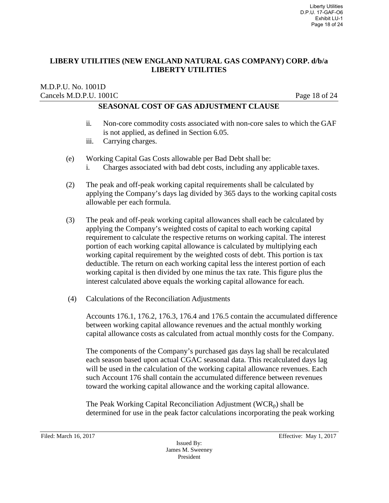#### M.D.P.U. No. 1001D Cancels M.D.P.U. 1001C Page 18 of 24

## **SEASONAL COST OF GAS ADJUSTMENT CLAUSE**

- ii. Non-core commodity costs associated with non-core sales to which the GAF is not applied, as defined in Section 6.05.
- iii. Carrying charges.
- (e) Working Capital Gas Costs allowable per Bad Debt shall be:
	- i. Charges associated with bad debt costs, including any applicable taxes.
- (2) The peak and off-peak working capital requirements shall be calculated by applying the Company's days lag divided by 365 days to the working capital costs allowable per each formula.
- (3) The peak and off-peak working capital allowances shall each be calculated by applying the Company's weighted costs of capital to each working capital requirement to calculate the respective returns on working capital. The interest portion of each working capital allowance is calculated by multiplying each working capital requirement by the weighted costs of debt. This portion is tax deductible. The return on each working capital less the interest portion of each working capital is then divided by one minus the tax rate. This figure plus the interest calculated above equals the working capital allowance for each.
- (4) Calculations of the Reconciliation Adjustments

Accounts 176.1, 176.2, 176.3, 176.4 and 176.5 contain the accumulated difference between working capital allowance revenues and the actual monthly working capital allowance costs as calculated from actual monthly costs for the Company.

The components of the Company's purchased gas days lag shall be recalculated each season based upon actual CGAC seasonal data. This recalculated days lag will be used in the calculation of the working capital allowance revenues. Each such Account 176 shall contain the accumulated difference between revenues toward the working capital allowance and the working capital allowance.

The Peak Working Capital Reconciliation Adjustment ( $WCR<sub>p</sub>$ ) shall be determined for use in the peak factor calculations incorporating the peak working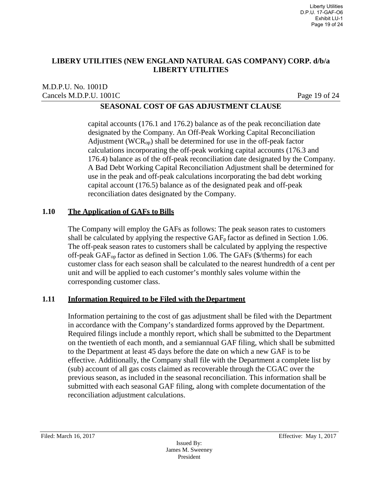#### M.D.P.U. No. 1001D Cancels M.D.P.U. 1001C Page 19 of 24

## **SEASONAL COST OF GAS ADJUSTMENT CLAUSE**

capital accounts (176.1 and 176.2) balance as of the peak reconciliation date designated by the Company. An Off-Peak Working Capital Reconciliation Adjustment ( $WCR<sub>op</sub>$ ) shall be determined for use in the off-peak factor calculations incorporating the off-peak working capital accounts (176.3 and 176.4) balance as of the off-peak reconciliation date designated by the Company. A Bad Debt Working Capital Reconciliation Adjustment shall be determined for use in the peak and off-peak calculations incorporating the bad debt working capital account (176.5) balance as of the designated peak and off-peak reconciliation dates designated by the Company.

#### **1.10 The Application of GAFs to Bills**

The Company will employ the GAFs as follows: The peak season rates to customers shall be calculated by applying the respective  $GAF<sub>p</sub>$  factor as defined in Section 1.06. The off-peak season rates to customers shall be calculated by applying the respective off-peak GAFop factor as defined in Section 1.06. The GAFs (\$/therms) for each customer class for each season shall be calculated to the nearest hundredth of a cent per unit and will be applied to each customer's monthly sales volume within the corresponding customer class.

#### **1.11 Information Required to be Filed with the Department**

Information pertaining to the cost of gas adjustment shall be filed with the Department in accordance with the Company's standardized forms approved by the Department. Required filings include a monthly report, which shall be submitted to the Department on the twentieth of each month, and a semiannual GAF filing, which shall be submitted to the Department at least 45 days before the date on which a new GAF is to be effective. Additionally, the Company shall file with the Department a complete list by (sub) account of all gas costs claimed as recoverable through the CGAC over the previous season, as included in the seasonal reconciliation. This information shall be submitted with each seasonal GAF filing, along with complete documentation of the reconciliation adjustment calculations.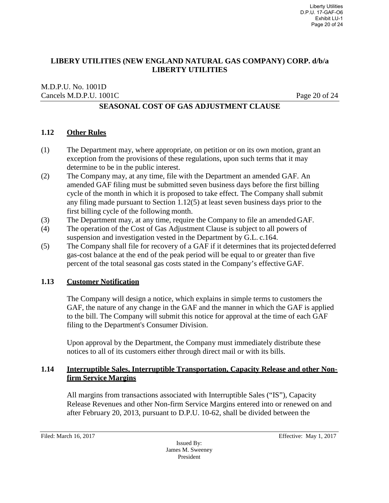#### M.D.P.U. No. 1001D Cancels M.D.P.U. 1001C Page 20 of 24

## **SEASONAL COST OF GAS ADJUSTMENT CLAUSE**

#### **1.12 Other Rules**

- (1) The Department may, where appropriate, on petition or on its own motion, grant an exception from the provisions of these regulations, upon such terms that it may determine to be in the public interest.
- (2) The Company may, at any time, file with the Department an amended GAF. An amended GAF filing must be submitted seven business days before the first billing cycle of the month in which it is proposed to take effect. The Company shall submit any filing made pursuant to Section 1.12(5) at least seven business days prior to the first billing cycle of the following month.
- (3) The Department may, at any time, require the Company to file an amended GAF.
- (4) The operation of the Cost of Gas Adjustment Clause is subject to all powers of suspension and investigation vested in the Department by G.L. c.164.
- (5) The Company shall file for recovery of a GAF if it determines that its projected deferred gas-cost balance at the end of the peak period will be equal to or greater than five percent of the total seasonal gas costs stated in the Company's effective GAF.

#### **1.13 Customer Notification**

The Company will design a notice, which explains in simple terms to customers the GAF, the nature of any change in the GAF and the manner in which the GAF is applied to the bill. The Company will submit this notice for approval at the time of each GAF filing to the Department's Consumer Division.

Upon approval by the Department, the Company must immediately distribute these notices to all of its customers either through direct mail or with its bills.

#### **1.14 Interruptible Sales, Interruptible Transportation, Capacity Release and other Nonfirm Service Margins**

All margins from transactions associated with Interruptible Sales ("IS"), Capacity Release Revenues and other Non-firm Service Margins entered into or renewed on and after February 20, 2013, pursuant to D.P.U. 10-62, shall be divided between the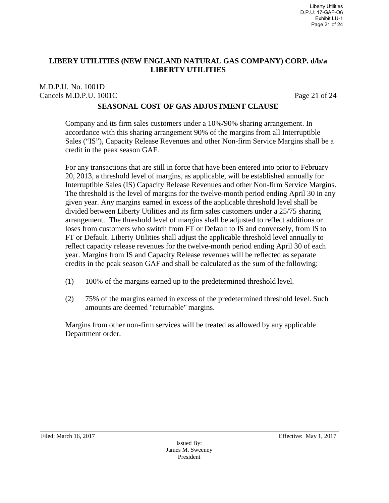M.D.P.U. No. 1001D Cancels M.D.P.U. 1001C Page 21 of 24

## **SEASONAL COST OF GAS ADJUSTMENT CLAUSE**

Company and its firm sales customers under a 10%/90% sharing arrangement. In accordance with this sharing arrangement 90% of the margins from all Interruptible Sales ("IS"), Capacity Release Revenues and other Non-firm Service Margins shall be a credit in the peak season GAF.

For any transactions that are still in force that have been entered into prior to February 20, 2013, a threshold level of margins, as applicable, will be established annually for Interruptible Sales (IS) Capacity Release Revenues and other Non-firm Service Margins. The threshold is the level of margins for the twelve-month period ending April 30 in any given year. Any margins earned in excess of the applicable threshold level shall be divided between Liberty Utilities and its firm sales customers under a 25/75 sharing arrangement. The threshold level of margins shall be adjusted to reflect additions or loses from customers who switch from FT or Default to IS and conversely, from IS to FT or Default. Liberty Utilities shall adjust the applicable threshold level annually to reflect capacity release revenues for the twelve-month period ending April 30 of each year. Margins from IS and Capacity Release revenues will be reflected as separate credits in the peak season GAF and shall be calculated as the sum of the following:

- (1) 100% of the margins earned up to the predetermined threshold level.
- (2) 75% of the margins earned in excess of the predetermined threshold level. Such amounts are deemed "returnable" margins.

Margins from other non-firm services will be treated as allowed by any applicable Department order.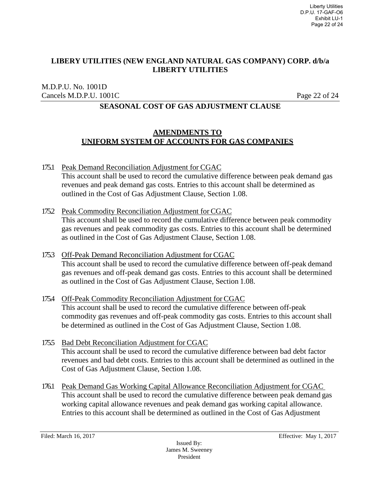M.D.P.U. No. 1001D Cancels M.D.P.U. 1001C Page 22 of 24

## **SEASONAL COST OF GAS ADJUSTMENT CLAUSE**

#### **AMENDMENTS TO UNIFORM SYSTEM OF ACCOUNTS FOR GAS COMPANIES**

- 175.1 Peak Demand Reconciliation Adjustment for CGAC This account shall be used to record the cumulative difference between peak demand gas revenues and peak demand gas costs. Entries to this account shall be determined as outlined in the Cost of Gas Adjustment Clause, Section 1.08.
- 175.2 Peak Commodity Reconciliation Adjustment for CGAC This account shall be used to record the cumulative difference between peak commodity gas revenues and peak commodity gas costs. Entries to this account shall be determined as outlined in the Cost of Gas Adjustment Clause, Section 1.08.
- 175.3 Off-Peak Demand Reconciliation Adjustment for CGAC This account shall be used to record the cumulative difference between off-peak demand gas revenues and off-peak demand gas costs. Entries to this account shall be determined as outlined in the Cost of Gas Adjustment Clause, Section 1.08.
- 175.4 Off-Peak Commodity Reconciliation Adjustment for CGAC This account shall be used to record the cumulative difference between off-peak commodity gas revenues and off-peak commodity gas costs. Entries to this account shall be determined as outlined in the Cost of Gas Adjustment Clause, Section 1.08.
- 175.5 Bad Debt Reconciliation Adjustment for CGAC This account shall be used to record the cumulative difference between bad debt factor revenues and bad debt costs. Entries to this account shall be determined as outlined in the Cost of Gas Adjustment Clause, Section 1.08.
- 176.1 Peak Demand Gas Working Capital Allowance Reconciliation Adjustment for CGAC This account shall be used to record the cumulative difference between peak demand gas working capital allowance revenues and peak demand gas working capital allowance. Entries to this account shall be determined as outlined in the Cost of Gas Adjustment

Issued By: James M. Sweeney President

Filed: March 16, 2017 **Effective:** May 1, 2017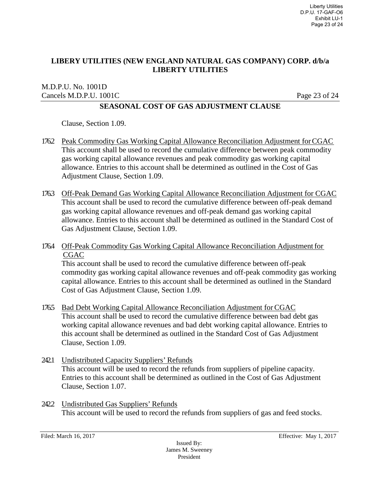#### M.D.P.U. No. 1001D Cancels M.D.P.U. 1001C Page 23 of 24

## **SEASONAL COST OF GAS ADJUSTMENT CLAUSE**

Clause, Section 1.09.

- 176.2 Peak Commodity Gas Working Capital Allowance Reconciliation Adjustment forCGAC This account shall be used to record the cumulative difference between peak commodity gas working capital allowance revenues and peak commodity gas working capital allowance. Entries to this account shall be determined as outlined in the Cost of Gas Adjustment Clause, Section 1.09.
- 176.3 Off-Peak Demand Gas Working Capital Allowance Reconciliation Adjustment for CGAC This account shall be used to record the cumulative difference between off-peak demand gas working capital allowance revenues and off-peak demand gas working capital allowance. Entries to this account shall be determined as outlined in the Standard Cost of Gas Adjustment Clause, Section 1.09.
- 176.4 Off-Peak Commodity Gas Working Capital Allowance Reconciliation Adjustment for CGAC

This account shall be used to record the cumulative difference between off-peak commodity gas working capital allowance revenues and off-peak commodity gas working capital allowance. Entries to this account shall be determined as outlined in the Standard Cost of Gas Adjustment Clause, Section 1.09.

- 176.5 Bad Debt Working Capital Allowance Reconciliation Adjustment for CGAC This account shall be used to record the cumulative difference between bad debt gas working capital allowance revenues and bad debt working capital allowance. Entries to this account shall be determined as outlined in the Standard Cost of Gas Adjustment Clause, Section 1.09.
- 242.1 Undistributed Capacity Suppliers' Refunds This account will be used to record the refunds from suppliers of pipeline capacity. Entries to this account shall be determined as outlined in the Cost of Gas Adjustment Clause, Section 1.07.
- 2422 Undistributed Gas Suppliers' Refunds This account will be used to record the refunds from suppliers of gas and feed stocks.